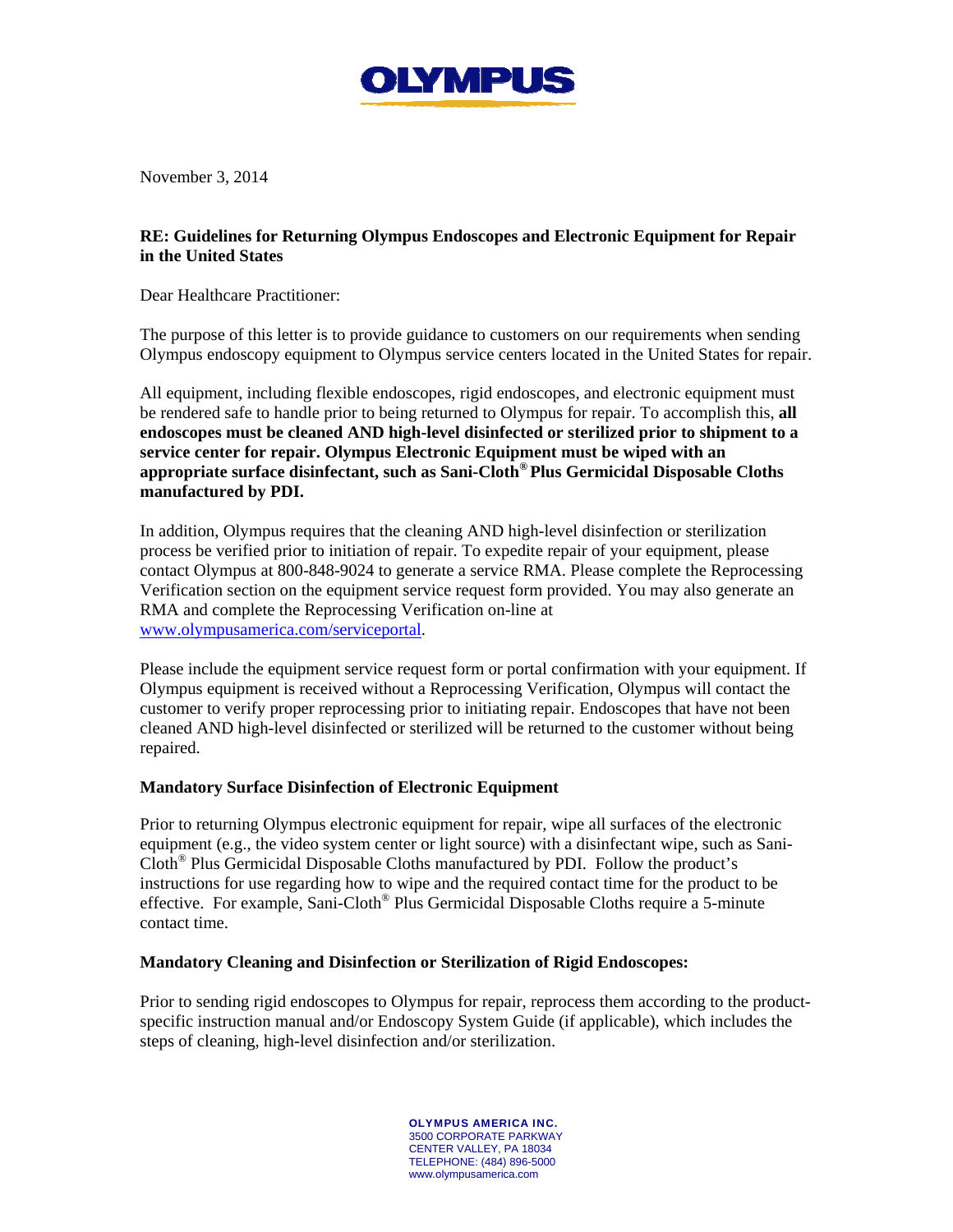

November 3, 2014

## **RE: Guidelines for Returning Olympus Endoscopes and Electronic Equipment for Repair in the United States**

Dear Healthcare Practitioner:

The purpose of this letter is to provide guidance to customers on our requirements when sending Olympus endoscopy equipment to Olympus service centers located in the United States for repair.

All equipment, including flexible endoscopes, rigid endoscopes, and electronic equipment must be rendered safe to handle prior to being returned to Olympus for repair. To accomplish this, **all endoscopes must be cleaned AND high-level disinfected or sterilized prior to shipment to a service center for repair. Olympus Electronic Equipment must be wiped with an appropriate surface disinfectant, such as Sani-Cloth® Plus Germicidal Disposable Cloths manufactured by PDI.** 

In addition, Olympus requires that the cleaning AND high-level disinfection or sterilization process be verified prior to initiation of repair. To expedite repair of your equipment, please contact Olympus at 800-848-9024 to generate a service RMA. Please complete the Reprocessing Verification section on the equipment service request form provided. You may also generate an RMA and complete the Reprocessing Verification on-line at www.olympusamerica.com/serviceportal.

Please include the equipment service request form or portal confirmation with your equipment. If Olympus equipment is received without a Reprocessing Verification, Olympus will contact the customer to verify proper reprocessing prior to initiating repair. Endoscopes that have not been cleaned AND high-level disinfected or sterilized will be returned to the customer without being repaired.

# **Mandatory Surface Disinfection of Electronic Equipment**

Prior to returning Olympus electronic equipment for repair, wipe all surfaces of the electronic equipment (e.g., the video system center or light source) with a disinfectant wipe, such as Sani-Cloth® Plus Germicidal Disposable Cloths manufactured by PDI. Follow the product's instructions for use regarding how to wipe and the required contact time for the product to be effective. For example, Sani-Cloth® Plus Germicidal Disposable Cloths require a 5-minute contact time.

## **Mandatory Cleaning and Disinfection or Sterilization of Rigid Endoscopes:**

Prior to sending rigid endoscopes to Olympus for repair, reprocess them according to the productspecific instruction manual and/or Endoscopy System Guide (if applicable), which includes the steps of cleaning, high-level disinfection and/or sterilization.

> OLYMPUS AMERICA INC. 3500 CORPORATE PARKWAY CENTER VALLEY, PA 18034 TELEPHONE: (484) 896-5000 www.olympusamerica.com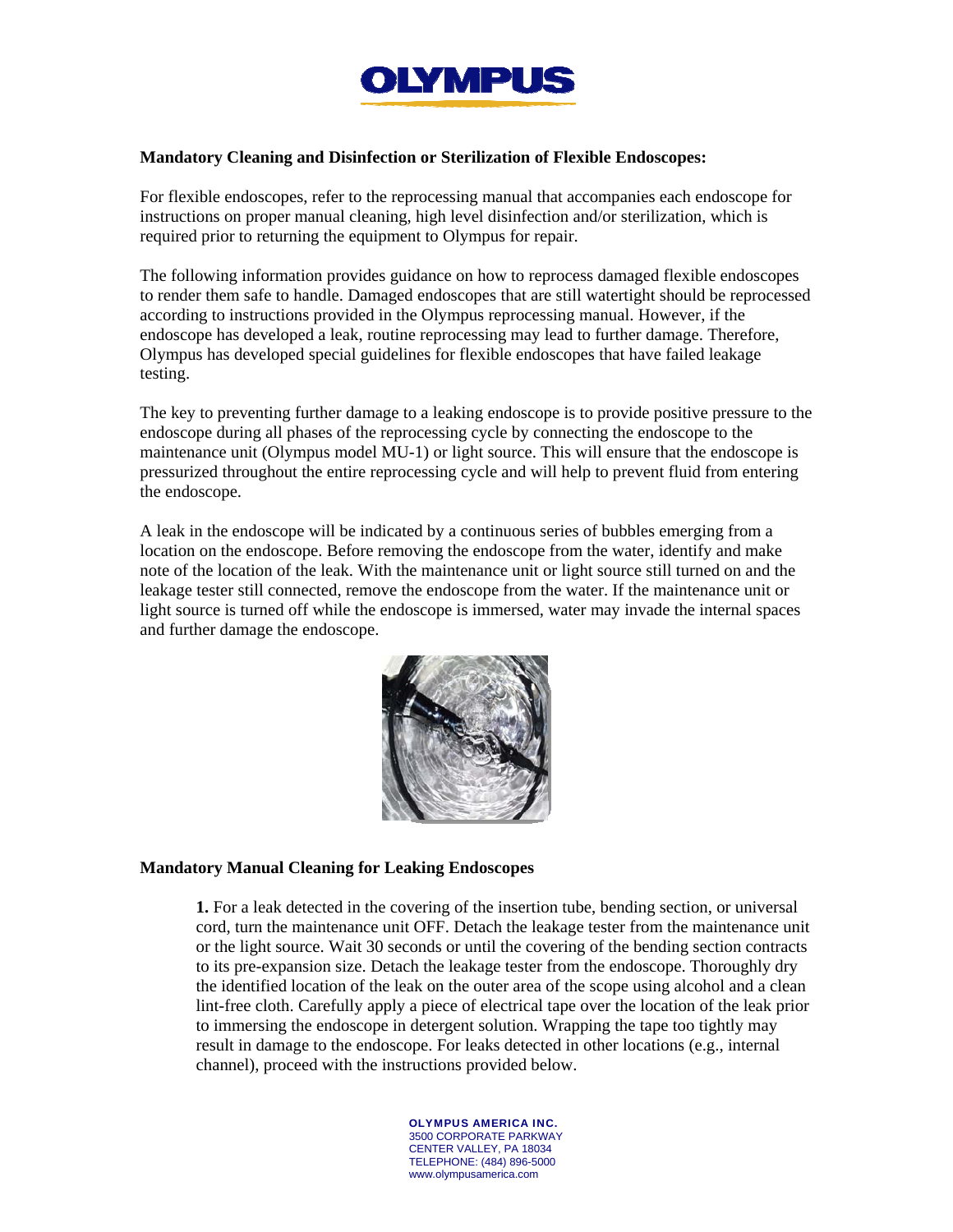

### **Mandatory Cleaning and Disinfection or Sterilization of Flexible Endoscopes:**

For flexible endoscopes, refer to the reprocessing manual that accompanies each endoscope for instructions on proper manual cleaning, high level disinfection and/or sterilization, which is required prior to returning the equipment to Olympus for repair.

The following information provides guidance on how to reprocess damaged flexible endoscopes to render them safe to handle. Damaged endoscopes that are still watertight should be reprocessed according to instructions provided in the Olympus reprocessing manual. However, if the endoscope has developed a leak, routine reprocessing may lead to further damage. Therefore, Olympus has developed special guidelines for flexible endoscopes that have failed leakage testing.

The key to preventing further damage to a leaking endoscope is to provide positive pressure to the endoscope during all phases of the reprocessing cycle by connecting the endoscope to the maintenance unit (Olympus model MU-1) or light source. This will ensure that the endoscope is pressurized throughout the entire reprocessing cycle and will help to prevent fluid from entering the endoscope.

A leak in the endoscope will be indicated by a continuous series of bubbles emerging from a location on the endoscope. Before removing the endoscope from the water, identify and make note of the location of the leak. With the maintenance unit or light source still turned on and the leakage tester still connected, remove the endoscope from the water. If the maintenance unit or light source is turned off while the endoscope is immersed, water may invade the internal spaces and further damage the endoscope.



### **Mandatory Manual Cleaning for Leaking Endoscopes**

**1.** For a leak detected in the covering of the insertion tube, bending section, or universal cord, turn the maintenance unit OFF. Detach the leakage tester from the maintenance unit or the light source. Wait 30 seconds or until the covering of the bending section contracts to its pre-expansion size. Detach the leakage tester from the endoscope. Thoroughly dry the identified location of the leak on the outer area of the scope using alcohol and a clean lint-free cloth. Carefully apply a piece of electrical tape over the location of the leak prior to immersing the endoscope in detergent solution. Wrapping the tape too tightly may result in damage to the endoscope. For leaks detected in other locations (e.g., internal channel), proceed with the instructions provided below.

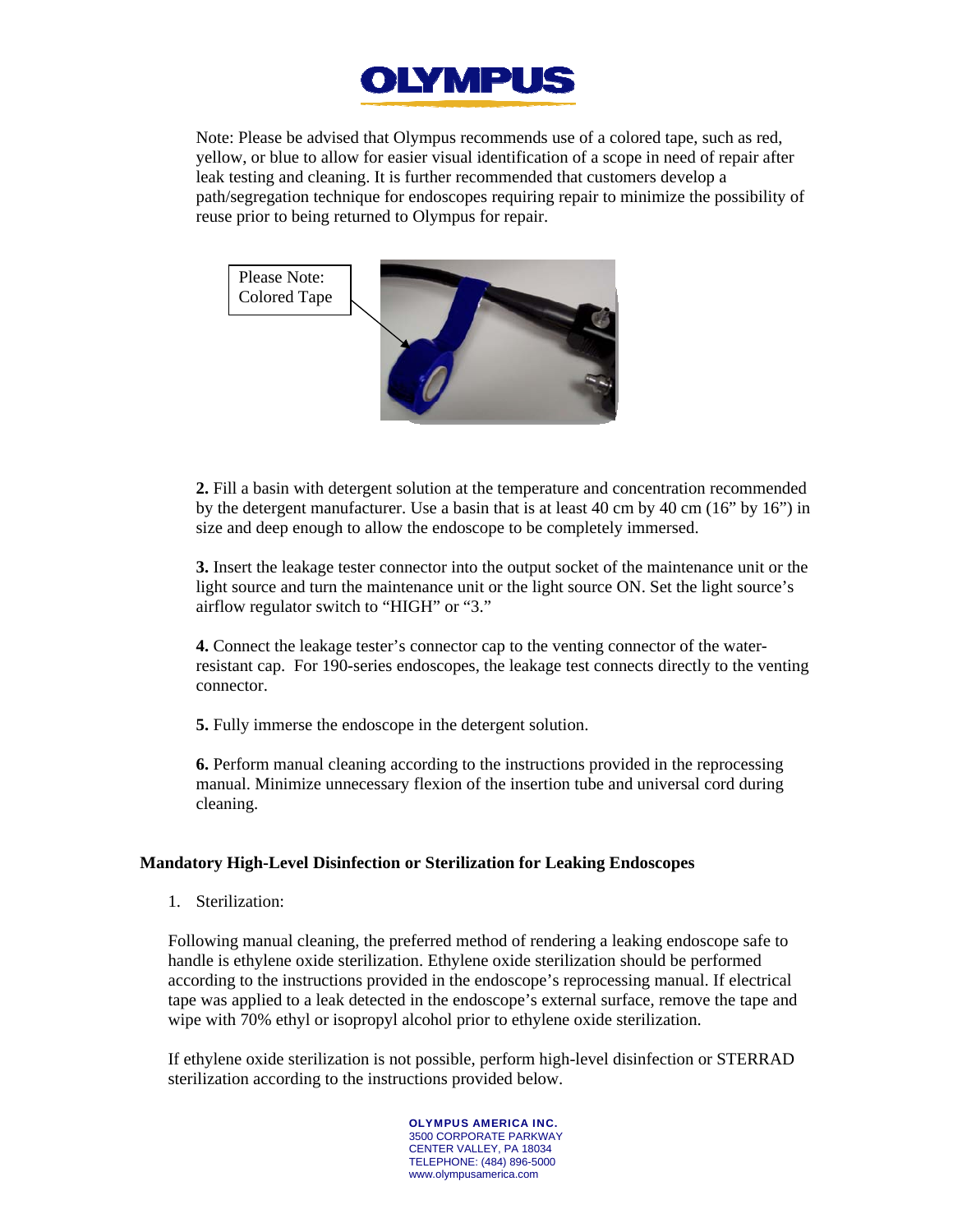

Note: Please be advised that Olympus recommends use of a colored tape, such as red, yellow, or blue to allow for easier visual identification of a scope in need of repair after leak testing and cleaning. It is further recommended that customers develop a path/segregation technique for endoscopes requiring repair to minimize the possibility of reuse prior to being returned to Olympus for repair.



**2.** Fill a basin with detergent solution at the temperature and concentration recommended by the detergent manufacturer. Use a basin that is at least 40 cm by 40 cm (16" by 16") in size and deep enough to allow the endoscope to be completely immersed.

**3.** Insert the leakage tester connector into the output socket of the maintenance unit or the light source and turn the maintenance unit or the light source ON. Set the light source's airflow regulator switch to "HIGH" or "3."

**4.** Connect the leakage tester's connector cap to the venting connector of the waterresistant cap. For 190-series endoscopes, the leakage test connects directly to the venting connector.

**5.** Fully immerse the endoscope in the detergent solution.

**6.** Perform manual cleaning according to the instructions provided in the reprocessing manual. Minimize unnecessary flexion of the insertion tube and universal cord during cleaning.

### **Mandatory High-Level Disinfection or Sterilization for Leaking Endoscopes**

1. Sterilization:

Following manual cleaning, the preferred method of rendering a leaking endoscope safe to handle is ethylene oxide sterilization. Ethylene oxide sterilization should be performed according to the instructions provided in the endoscope's reprocessing manual. If electrical tape was applied to a leak detected in the endoscope's external surface, remove the tape and wipe with 70% ethyl or isopropyl alcohol prior to ethylene oxide sterilization.

If ethylene oxide sterilization is not possible, perform high-level disinfection or STERRAD sterilization according to the instructions provided below.